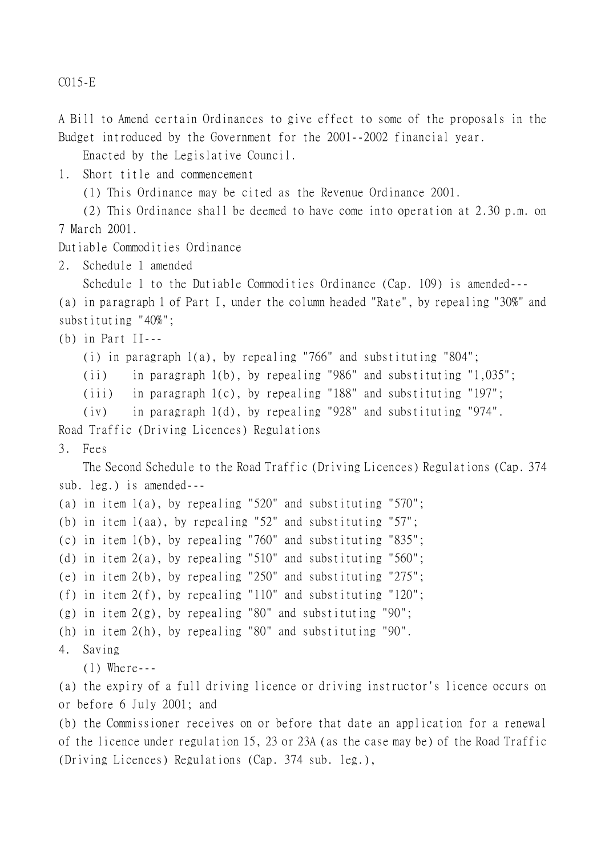C015-E

A Bill to Amend certain Ordinances to give effect to some of the proposals in the Budget introduced by the Government for the 2001--2002 financial year.

Enacted by the Legislative Council.

1. Short title and commencement

(1) This Ordinance may be cited as the Revenue Ordinance 2001.

(2) This Ordinance shall be deemed to have come into operation at 2.30 p.m. on 7 March 2001.

Dutiable Commodities Ordinance

2. Schedule 1 amended

Schedule 1 to the Dutiable Commodities Ordinance (Cap. 109) is amended--- (a) in paragraph 1 of Part I, under the column headed "Rate", by repealing "30%" and substituting "40%";

(b) in Part II---

(i) in paragraph 1(a), by repealing "766" and substituting "804";

(ii) in paragraph 1(b), by repealing "986" and substituting "1,035";

(iii) in paragraph 1(c), by repealing "188" and substituting "197";

(iv) in paragraph 1(d), by repealing "928" and substituting "974".

Road Traffic (Driving Licences) Regulations

## 3. Fees

The Second Schedule to the Road Traffic (Driving Licences) Regulations (Cap. 374 sub. leg.) is amended---

```
(a) in item 1(a), by repealing "520" and substituting "570";
(b) in item 1(aa), by repealing "52" and substituting "57";
(c) in item 1(b), by repealing "760" and substituting "835";
(d) in item 2(a), by repealing "510" and substituting "560";
(e) in item 2(b), by repealing "250" and substituting "275";
(f) in item 2(f), by repealing "110" and substituting "120";
(g) in item 2(g), by repealing "80" and substituting "90";
(h) in item 2(h), by repealing "80" and substituting "90".
4. Saving
   (1) Where---
```
(a) the expiry of a full driving licence or driving instructor's licence occurs on or before 6 July 2001; and

(b) the Commissioner receives on or before that date an application for a renewal of the licence under regulation 15, 23 or 23A (as the case may be) of the Road Traffic (Driving Licences) Regulations (Cap. 374 sub. leg.),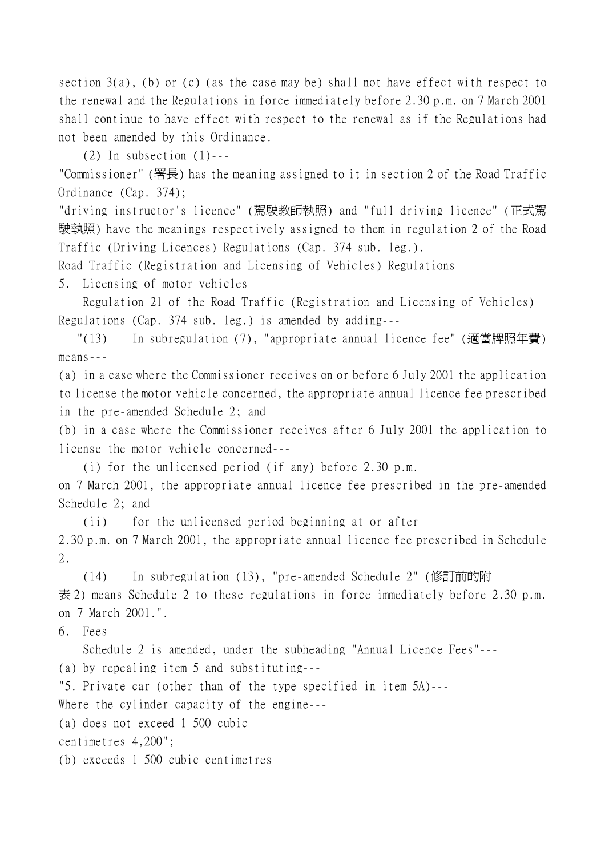section  $3(a)$ , (b) or (c) (as the case may be) shall not have effect with respect to the renewal and the Regulations in force immediately before 2.30 p.m. on 7 March 2001 shall continue to have effect with respect to the renewal as if the Regulations had not been amended by this Ordinance.

 $(2)$  In subsection  $(1)$ ---

"Commissioner" (署長) has the meaning assigned to it in section 2 of the Road Traffic Ordinance (Cap. 374);

"driving instructor's licence" (駕駛教師執照) and "full driving licence" (正式駕 駛執照) have the meanings respectively assigned to them in regulation 2 of the Road Traffic (Driving Licences) Regulations (Cap. 374 sub. leg.).

Road Traffic (Registration and Licensing of Vehicles) Regulations

5. Licensing of motor vehicles

Regulation 21 of the Road Traffic (Registration and Licensing of Vehicles) Regulations (Cap. 374 sub. leg.) is amended by adding---

 "(13) In subregulation (7), "appropriate annual licence fee" (適當牌照年費) means---

(a) in a case where the Commissioner receives on or before 6 July 2001 the application to license the motor vehicle concerned, the appropriate annual licence fee prescribed in the pre-amended Schedule 2; and

(b) in a case where the Commissioner receives after 6 July 2001 the application to license the motor vehicle concerned---

(i) for the unlicensed period (if any) before 2.30 p.m.

on 7 March 2001, the appropriate annual licence fee prescribed in the pre-amended Schedule 2; and

(ii) for the unlicensed period beginning at or after

2.30 p.m. on 7 March 2001, the appropriate annual licence fee prescribed in Schedule 2.

(14) In subregulation (13), "pre-amended Schedule 2" (修訂前的附 表 2) means Schedule 2 to these regulations in force immediately before 2.30 p.m. on 7 March 2001.".

6. Fees

Schedule 2 is amended, under the subheading "Annual Licence Fees"---

(a) by repealing item 5 and substituting---

"5. Private car (other than of the type specified in item 5A)---

Where the cylinder capacity of the engine---

(a) does not exceed 1 500 cubic

centimetres 4,200";

(b) exceeds 1 500 cubic centimetres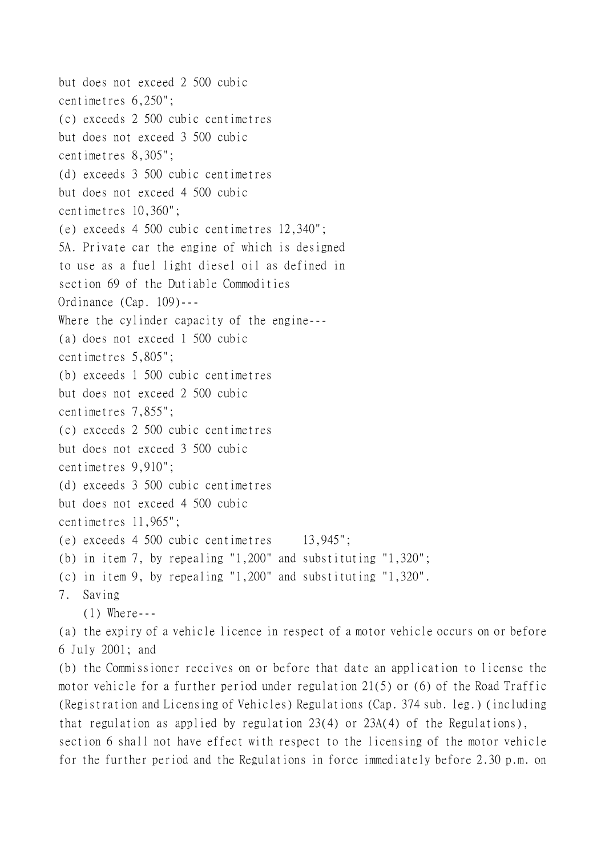```
but does not exceed 2 500 cubic
centimetres 6,250";
(c) exceeds 2 500 cubic centimetres
but does not exceed 3 500 cubic
centimetres 8,305";
(d) exceeds 3 500 cubic centimetres
but does not exceed 4 500 cubic
centimetres 10,360";
(e) exceeds 4 500 cubic centimetres 12,340";
5A. Private car the engine of which is designed
to use as a fuel light diesel oil as defined in
section 69 of the Dutiable Commodities
Ordinance (Cap. 109)---
Where the cylinder capacity of the engine---
(a) does not exceed 1 500 cubic
centimetres 5,805";
(b) exceeds 1 500 cubic centimetres
but does not exceed 2 500 cubic
centimetres 7,855";
(c) exceeds 2 500 cubic centimetres
but does not exceed 3 500 cubic
centimetres 9,910";
(d) exceeds 3 500 cubic centimetres
but does not exceed 4 500 cubic
centimetres 11,965";
(e) exceeds 4 500 cubic centimetres 13,945";
(b) in item 7, by repealing "1,200" and substituting "1,320";
(c) in item 9, by repealing "1,200" and substituting "1,320".
7. Saving
    (1) Where---
(a) the expiry of a vehicle licence in respect of a motor vehicle occurs on or before
```

```
6 July 2001; and
```
(b) the Commissioner receives on or before that date an application to license the motor vehicle for a further period under regulation 21(5) or (6) of the Road Traffic (Registration and Licensing of Vehicles) Regulations (Cap. 374 sub. leg.) (including that regulation as applied by regulation 23(4) or 23A(4) of the Regulations),

section 6 shall not have effect with respect to the licensing of the motor vehicle for the further period and the Regulations in force immediately before 2.30 p.m. on